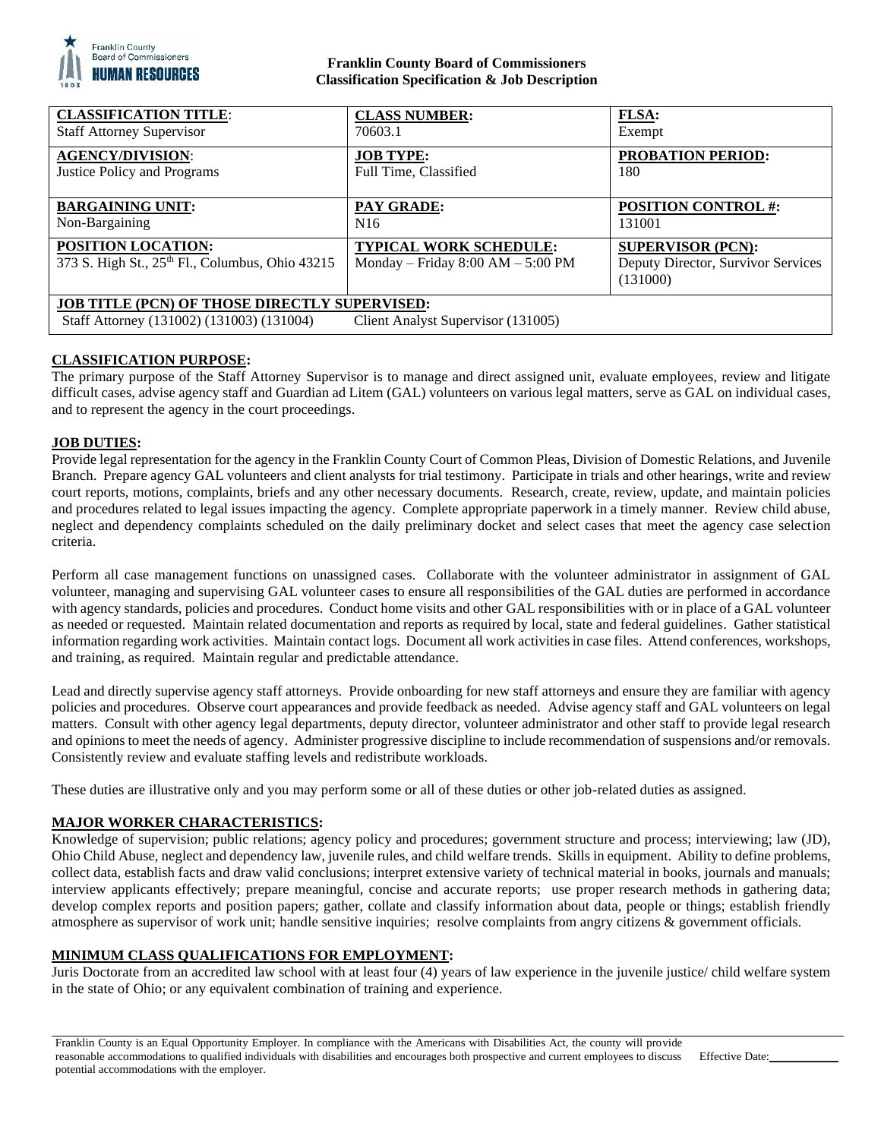

### **Franklin County Board of Commissioners Classification Specification & Job Description**

| <b>CLASSIFICATION TITLE:</b>                                                 | <b>CLASS NUMBER:</b>                                                 | <b>FLSA:</b>                                                               |
|------------------------------------------------------------------------------|----------------------------------------------------------------------|----------------------------------------------------------------------------|
| <b>Staff Attorney Supervisor</b>                                             | 70603.1                                                              | Exempt                                                                     |
| <b>AGENCY/DIVISION:</b>                                                      | <b>JOB TYPE:</b>                                                     | <b>PROBATION PERIOD:</b>                                                   |
| <b>Justice Policy and Programs</b>                                           | Full Time, Classified                                                | 180                                                                        |
| <b>BARGAINING UNIT:</b>                                                      | PAY GRADE:                                                           | <b>POSITION CONTROL #:</b>                                                 |
| Non-Bargaining                                                               | N <sub>16</sub>                                                      | 131001                                                                     |
| <b>POSITION LOCATION:</b><br>373 S. High St., 25th Fl., Columbus, Ohio 43215 | <b>TYPICAL WORK SCHEDULE:</b><br>Monday – Friday $8:00 AM - 5:00 PM$ | <b>SUPERVISOR (PCN):</b><br>Deputy Director, Survivor Services<br>(131000) |
| <b>JOB TITLE (PCN) OF THOSE DIRECTLY SUPERVISED:</b>                         |                                                                      |                                                                            |
| Staff Attorney (131002) (131003) (131004)                                    | Client Analyst Supervisor (131005)                                   |                                                                            |

# **CLASSIFICATION PURPOSE:**

The primary purpose of the Staff Attorney Supervisor is to manage and direct assigned unit, evaluate employees, review and litigate difficult cases, advise agency staff and Guardian ad Litem (GAL) volunteers on various legal matters, serve as GAL on individual cases, and to represent the agency in the court proceedings.

## **JOB DUTIES:**

Provide legal representation for the agency in the Franklin County Court of Common Pleas, Division of Domestic Relations, and Juvenile Branch. Prepare agency GAL volunteers and client analysts for trial testimony. Participate in trials and other hearings, write and review court reports, motions, complaints, briefs and any other necessary documents. Research, create, review, update, and maintain policies and procedures related to legal issues impacting the agency. Complete appropriate paperwork in a timely manner. Review child abuse, neglect and dependency complaints scheduled on the daily preliminary docket and select cases that meet the agency case selection criteria.

Perform all case management functions on unassigned cases. Collaborate with the volunteer administrator in assignment of GAL volunteer, managing and supervising GAL volunteer cases to ensure all responsibilities of the GAL duties are performed in accordance with agency standards, policies and procedures. Conduct home visits and other GAL responsibilities with or in place of a GAL volunteer as needed or requested. Maintain related documentation and reports as required by local, state and federal guidelines. Gather statistical information regarding work activities. Maintain contact logs. Document all work activities in case files. Attend conferences, workshops, and training, as required. Maintain regular and predictable attendance.

Lead and directly supervise agency staff attorneys. Provide onboarding for new staff attorneys and ensure they are familiar with agency policies and procedures. Observe court appearances and provide feedback as needed. Advise agency staff and GAL volunteers on legal matters. Consult with other agency legal departments, deputy director, volunteer administrator and other staff to provide legal research and opinions to meet the needs of agency. Administer progressive discipline to include recommendation of suspensions and/or removals. Consistently review and evaluate staffing levels and redistribute workloads.

These duties are illustrative only and you may perform some or all of these duties or other job-related duties as assigned.

### **MAJOR WORKER CHARACTERISTICS:**

Knowledge of supervision; public relations; agency policy and procedures; government structure and process; interviewing; law (JD), Ohio Child Abuse, neglect and dependency law, juvenile rules, and child welfare trends. Skills in equipment. Ability to define problems, collect data, establish facts and draw valid conclusions; interpret extensive variety of technical material in books, journals and manuals; interview applicants effectively; prepare meaningful, concise and accurate reports; use proper research methods in gathering data; develop complex reports and position papers; gather, collate and classify information about data, people or things; establish friendly atmosphere as supervisor of work unit; handle sensitive inquiries; resolve complaints from angry citizens & government officials.

### **MINIMUM CLASS QUALIFICATIONS FOR EMPLOYMENT:**

Juris Doctorate from an accredited law school with at least four (4) years of law experience in the juvenile justice/ child welfare system in the state of Ohio; or any equivalent combination of training and experience.

Franklin County is an Equal Opportunity Employer. In compliance with the Americans with Disabilities Act, the county will provide reasonable accommodations to qualified individuals with disabilities and encourages both prospective and current employees to discuss potential accommodations with the employer.

Effective Date: